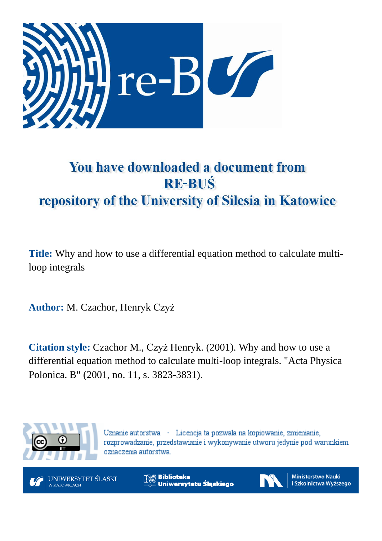

# You have downloaded a document from **RE-BUŚ** repository of the University of Silesia in Katowice

**Title:** Why and how to use a differential equation method to calculate multiloop integrals

**Author:** M. Czachor, Henryk Czyż

**Citation style:** Czachor M., Czyż Henryk. (2001). Why and how to use a differential equation method to calculate multi-loop integrals. "Acta Physica Polonica. B" (2001, no. 11, s. 3823-3831).



Uznanie autorstwa - Licencja ta pozwala na kopiowanie, zmienianie, rozprowadzanie, przedstawianie i wykonywanie utworu jedynie pod warunkiem oznaczenia autorstwa.



**Biblioteka** Uniwersytetu Śląskiego



**Ministerstwo Nauki** i Szkolnictwa Wyższego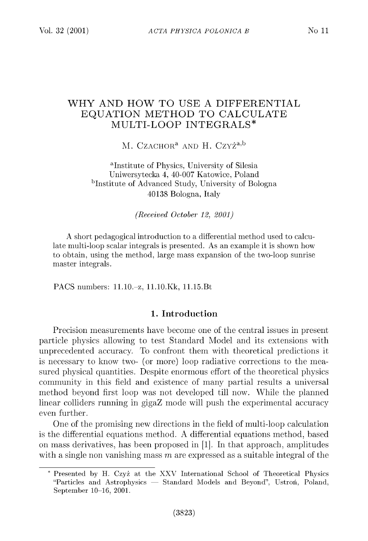## WHY AND HOW TO USE A DIFFERENTIAL EQUATION METHOD TO CALCULATE MULTI-LOOP INTEGRALS\*

M. CZACHOR<sup>a</sup> AND H. Czyż<sup>a,b</sup>

<sup>a</sup>Institute of Physics, University of Silesia Uniwersytecka 4, 40-007 Katowice, Poland <sup>b</sup>Institute of Advanced Study, University of Bologna 40138 Bologna, Italy

*(Received October 12, 2001)*

A short pedagogical introduction to a differential method used to calculate multi-loop scalar integrals is presented. As an example it is shown how to obtain, using the method, large mass expansion of the two-loop sunrise master integrals.

PACS numbers: ll.10.-z, ll.10.Kk, 11.15.Bt

### 1. Introduction

Precision measurements have become one of the central issues in present particle physics allowing to test Standard Model and its extensions with unprecedented accuracy. To confront them with theoretical predictions it is necessary to know two- (or more) loop radiative corrections to the measured physical quantities. Despite enormous effort of the theoretical physics community in this field and existence of many partial results a universal method beyond first loop was not developed till now. While the planned linear colliders running in gigaZ mode will push the experimental accuracy even further.

One of the promising new directions in the field of multi-loop calculation is the differential equations method. A differential equations method, based on mass derivatives, has been proposed in  $[1]$ . In that approach, amplitudes with a single non vanishing mass *m* are expressed as a suitable integral of the

<sup>\*</sup> Presented by H. Czyż at the XXV International School of Theoretical Physics "Particles and Astrophysics — Standard Models and Beyond", Ustroń, Poland, September 10-16, 2001.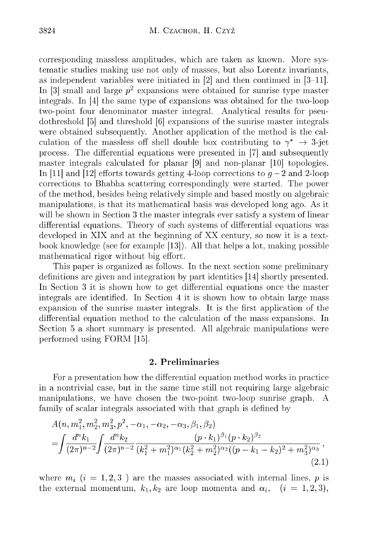corresponding massless amplitudes, which are taken as known. More system atic studies making use not only of masses, but also Lorentz invariants, as independent variables were initiated in [2] and then continued in [3-11]. In [3] small and large  $p^2$  expansions were obtained for sunrise type master integrals. In [4] the same type of expansions was obtained for the two-loop two-point four denominator master integral. Analytical results for pseudothreshold [5] and threshold [6] expansions of the sunrise master integrals were obtained subsequently. Another application of the method is the calculation of the massless off shell double box contributing to  $\gamma^* \rightarrow 3$ -jet process. The differential equations were presented in [7] and subsequently master integrals calculated for planar [9] and non-planar [10] topologies. In [11] and [12] efforts towards getting 4-loop corrections to  $q-2$  and 2-loop corrections to Bhabha scattering correspondingly were started. The power of the method, besides being relatively simple and based mostly on algebraic manipulations, is that its mathematical basis was developed long ago. As it will be shown in Section 3 the master integrals ever satisfy a system of linear differential equations. Theory of such systems of differential equations was developed in  $XIX$  and at the beginning of  $XX$  century, so now it is a textbook knowledge (see for example  $[13]$ ). All that helps a lot, making possible mathematical rigor without big effort.

This paper is organized as follows. In the next section some preliminary definitions are given and integration by part identities [14] shortly presented. In Section 3 it is shown how to get differential equations once the master integrals are identified. In Section 4 it is shown how to obtain large mass expansion of the sunrise m aster integrals. It is the first application of the differential equation m ethod to the calculation of the mass expansions. In Section 5 a short summary is presented. All algebraic manipulations were performed using FORM [15].

#### 2. Preliminaries

For a presentation how the differential equation method works in practice in a nontrivial case, but in the same time still not requiring large algebraic m anipulations, we have chosen the two-point two-loop sunrise graph. A family of scalar integrals associated with that graph is defined by

$$
A(n, m_1^2, m_2^2, m_3^2, p^2, -\alpha_1, -\alpha_2, -\alpha_3, \beta_1, \beta_2)
$$
  
= 
$$
\int \frac{d^n k_1}{(2\pi)^{n-2}} \int \frac{d^n k_2}{(2\pi)^{n-2}} \frac{(p \cdot k_1)^{\beta_1} (p \cdot k_2)^{\beta_2}}{(k_1^2 + m_1^2)^{\alpha_1} (k_2^2 + m_2^2)^{\alpha_2} ((p - k_1 - k_2)^2 + m_3^2)^{\alpha_3}},
$$
(2.1)

where  $m_i$  ( $i = 1,2,3$ ) are the masses associated with internal lines, p is the external momentum,  $k_1, k_2$  are loop momenta and  $\alpha_i$ ,  $(i = 1, 2, 3)$ ,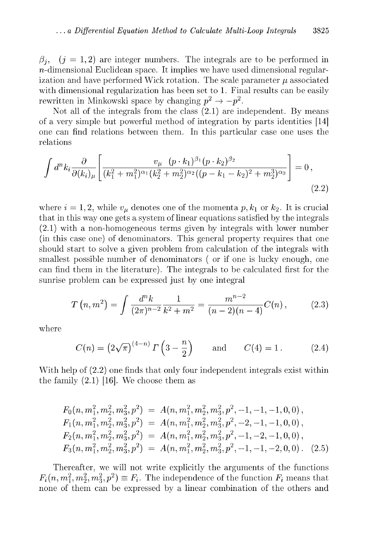$\beta_i$ ,  $(j = 1, 2)$  are integer numbers. The integrals are to be performed in  $n$ -dimensional Euclidean space. It implies we have used dimensional regularization and have performed Wick rotation. The scale parameter  $\mu$  associated with dimensional regularization has been set to 1. Final results can be easily rewritten in Minkowski space by changing  $p^2 \rightarrow -p^2$ .

Not all of the integrals from the class (2.1) are independent. By means of a very simple but powerful m ethod of integration by parts identities [14] one can find relations between them . In this particular case one uses the relations

$$
\int d^n k_i \frac{\partial}{\partial (k_i)_{\mu}} \left[ \frac{v_{\mu} (p \cdot k_1)^{\beta_1} (p \cdot k_2)^{\beta_2}}{(k_1^2 + m_1^2)^{\alpha_1} (k_2^2 + m_2^2)^{\alpha_2} ((p - k_1 - k_2)^2 + m_2^3)^{\alpha_3}} \right] = 0,
$$
\n(2.2)

where  $i = 1, 2$ , while  $v_{\mu}$  denotes one of the momenta  $p, k_1$  or  $k_2$ . It is crucial that in this way one gets a system of linear equations satisfied by the integrals  $(2.1)$  with a non-homogeneous terms given by integrals with lower number (in this case one) of denominators. This general property requires that one should start to solve a given problem from calculation of the integrals with smallest possible number of denominators ( or if one is lucky enough, one can find them in the literature). The integrals to be calculated first for the sunrise problem can be expressed just by one integral

$$
T(n, m^2) = \int \frac{d^n k}{(2\pi)^{n-2}} \frac{1}{k^2 + m^2} = \frac{m^{n-2}}{(n-2)(n-4)} C(n), \qquad (2.3)
$$

where

$$
C(n) = \left(2\sqrt{\pi}\right)^{(4-n)} \Gamma\left(3 - \frac{n}{2}\right) \quad \text{and} \quad C(4) = 1. \quad (2.4)
$$

With help of  $(2.2)$  one finds that only four independent integrals exist within the family  $(2.1)$  [16]. We choose them as

$$
F_0(n, m_1^2, m_2^2, m_3^2, p^2) = A(n, m_1^2, m_2^2, m_3^2, p^2, -1, -1, -1, 0, 0),
$$
  
\n
$$
F_1(n, m_1^2, m_2^2, m_3^2, p^2) = A(n, m_1^2, m_2^2, m_3^2, p^2, -2, -1, -1, 0, 0),
$$
  
\n
$$
F_2(n, m_1^2, m_2^2, m_3^2, p^2) = A(n, m_1^2, m_2^2, m_3^2, p^2, -1, -2, -1, 0, 0),
$$
  
\n
$$
F_3(n, m_1^2, m_2^2, m_3^2, p^2) = A(n, m_1^2, m_2^2, m_3^2, p^2, -1, -1, -2, 0, 0).
$$
 (2.5)

Thereafter, we will not write explicitly the arguments of the functions  $F_i(n, m_1^2, m_2^2, m_3^2, p^2) \equiv F_i$ . The independence of the function  $F_i$  means that none of them can be expressed by a linear combination of the others and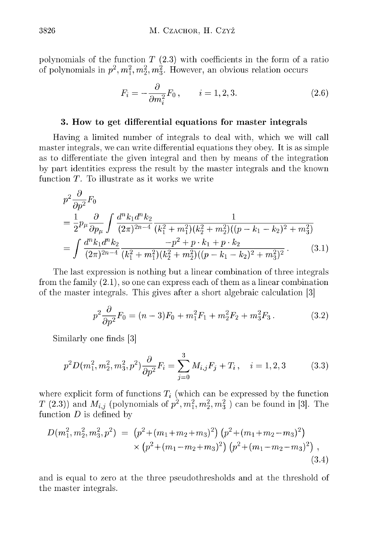polynomials of the function  $T(2.3)$  with coefficients in the form of a ratio of polynomials in  $p^2, m_1^2, m_2^2, m_3^2$ . However, an obvious relation occurs

$$
F_i = -\frac{\partial}{\partial m_i^2} F_0 \,, \qquad i = 1, 2, 3. \tag{2.6}
$$

#### 3. How to get differential equations for master integrals

Having a limited number of integrals to deal with, which we will call master integrals, we can write differential equations they obey. It is as simple as to differentiate the given integral and then by means of the integration by part identities express the result by the m aster integrals and the known function  $T$ . To illustrate as it works we write

$$
p^{2} \frac{\partial}{\partial p^{2}} F_{0}
$$
\n
$$
= \frac{1}{2} p_{\mu} \frac{\partial}{\partial p_{\mu}} \int \frac{d^{n} k_{1} d^{n} k_{2}}{(2\pi)^{2n-4}} \frac{1}{(k_{1}^{2} + m_{1}^{2})(k_{2}^{2} + m_{2}^{2})((p - k_{1} - k_{2})^{2} + m_{3}^{2})}
$$
\n
$$
= \int \frac{d^{n} k_{1} d^{n} k_{2}}{(2\pi)^{2n-4}} \frac{-p^{2} + p \cdot k_{1} + p \cdot k_{2}}{(k_{1}^{2} + m_{1}^{2})(k_{2}^{2} + m_{2}^{2})((p - k_{1} - k_{2})^{2} + m_{3}^{2})^{2}}.
$$
\n(3.1)

The last expression is nothing but a linear combination of three integrals from the family  $(2.1)$ , so one can express each of them as a linear combination of the m aster integrals. This gives after a short algebraic calculation [3]

$$
p^2 \frac{\partial}{\partial p^2} F_0 = (n-3)F_0 + m_1^2 F_1 + m_2^2 F_2 + m_3^2 F_3. \tag{3.2}
$$

Similarly one finds [3]

$$
p^{2}D(m_{1}^{2}, m_{2}^{2}, m_{3}^{2}, p^{2})\frac{\partial}{\partial p^{2}}F_{i} = \sum_{j=0}^{3} M_{i,j}F_{j} + T_{i}, \quad i = 1, 2, 3 \quad (3.3)
$$

where explicit form of functions  $T_i$  (which can be expressed by the function *T* (2.3)) and  $M_{i,j}$  (polynomials of  $p^2, m_1^2, m_2^2, m_3^2$ ) can be found in [3]. The function *D* is defined by

$$
D(m_1^2, m_2^2, m_3^2, p^2) = (p^2 + (m_1 + m_2 + m_3)^2) (p^2 + (m_1 + m_2 - m_3)^2) \times (p^2 + (m_1 - m_2 + m_3)^2) (p^2 + (m_1 - m_2 - m_3)^2) ,
$$
\n(3.4)

and is equal to zero at the three pseudothresholds and at the threshold of the master integrals.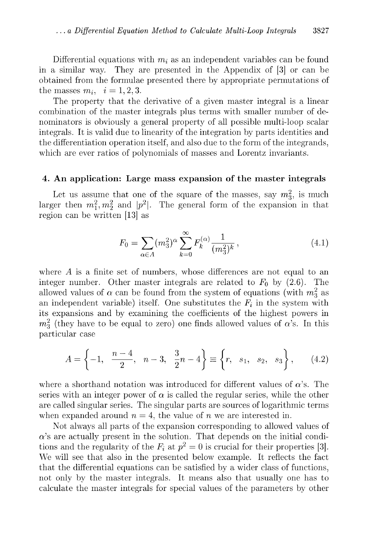Differential equations with  $m_i$  as an independent variables can be found in a similar way. They are presented in the Appendix of [3] or can be obtained from the formulae presented there by appropriate permutations of the masses  $m_i$ ,  $i = 1, 2, 3$ .

The property that the derivative of a given master integral is a linear combination of the master integrals plus terms with smaller number of denominators is obviously a general property of all possible multi-loop scalar integrals. It is valid due to linearity of the integration by parts identities and the differentiation operation itself, and also due to the form of the integrands, which are ever ratios of polynomials of masses and Lorentz invariants.

#### 4. An application: Large mass expansion of the master integrals

Let us assume that one of the square of the masses, say  $m_3^2$ , is much larger then  $m_1^2, m_2^2$  and  $|p^2|$ . The general form of the expansion in that region can be written [13] as

$$
F_0 = \sum_{\alpha \in A} (m_3^2)^\alpha \sum_{k=0}^\infty F_k^{(\alpha)} \frac{1}{(m_3^2)^k},\tag{4.1}
$$

where A is a finite set of numbers, whose differences are not equal to an integer number. Other master integrals are related to  $F_0$  by (2.6). The allowed values of  $\alpha$  can be found from the system of equations (with  $m_3^2$  as an independent variable) itself. One substitutes the  $F_i$  in the system with its expansions and by examining the coefficients of the highest powers in  $m_3$ <sup>2</sup> (they have to be equal to zero) one finds allowed values of  $\alpha$ 's. In this particular case

$$
A = \left\{-1, \frac{n-4}{2}, n-3, \frac{3}{2}n-4\right\} \equiv \left\{r, s_1, s_2, s_3\right\}, (4.2)
$$

where a shorthand notation was introduced for different values of  $\alpha$ 's. The series with an integer power of  $\alpha$  is called the regular series, while the other are called singular series. The singular parts are sources of logarithmic terms when expanded around  $n = 4$ , the value of *n* we are interested in.

Not always all parts of the expansion corresponding to allowed values of  $\alpha$ 's are actually present in the solution. That depends on the initial conditions and the regularity of the  $F_i$  at  $p^2 = 0$  is crucial for their properties [3]. We will see that also in the presented below example. It reflects the fact that the differential equations can be satisfied by a wider class of functions, not only by the master integrals. It means also that usually one has to calculate the m aster integrals for special values of the param eters by other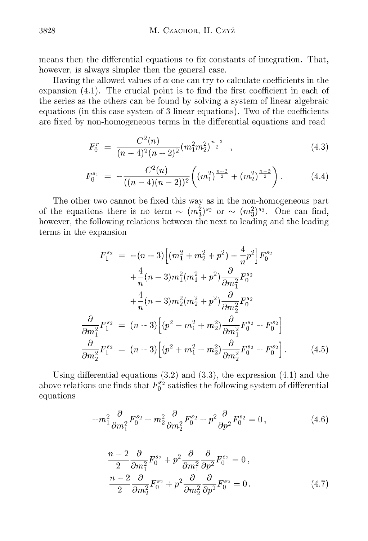means then the differential equations to fix constants of integration. That, however, is always simpler then the general case.

Having the allowed values of  $\alpha$  one can try to calculate coefficients in the expansion (4.1). The crucial point is to find the first coefficient in each of the series as the others can be found by solving a system of linear algebraic equations (in this case system of 3 linear equations). Two of the coefficients are fixed by non-homogeneous terms in the differential equations and read

$$
F_0^r = \frac{C^2(n)}{(n-4)^2(n-2)^2} (m_1^2 m_2^2)^{\frac{n-2}{2}} , \qquad (4.3)
$$

$$
F_0^{s_1} = -\frac{C^2(n)}{((n-4)(n-2))^2} \bigg((m_1^2)^{\frac{n-2}{2}} + (m_2^2)^{\frac{n-2}{2}}\bigg). \hspace{1cm} (4.4)
$$

The other two cannot be fixed this way as in the non-homogeneous part of the equations there is no term  $\sim (m_3^2)^{s_2}$  or  $\sim (m_3^2)^{s_3}$ . One can find, however, the following relations between the next to leading and the leading terms in the expansion

$$
F_1^{s_2} = -(n-3)\left[ (m_1^2 + m_2^2 + p^2) - \frac{4}{n}p^2 \right] F_0^{s_2}
$$
  
+ 
$$
\frac{4}{n}(n-3)m_1^2(m_1^2 + p^2)\frac{\partial}{\partial m_1^2} F_0^{s_2}
$$
  
+ 
$$
\frac{4}{n}(n-3)m_2^2(m_2^2 + p^2)\frac{\partial}{\partial m_2^2} F_0^{s_2}
$$
  

$$
\frac{\partial}{\partial m_1^2} F_1^{s_2} = (n-3)\left[ (p^2 - m_1^2 + m_2^2) \frac{\partial}{\partial m_1^2} F_0^{s_2} - F_0^{s_2} \right]
$$
  

$$
\frac{\partial}{\partial m_2^2} F_1^{s_2} = (n-3)\left[ (p^2 + m_1^2 - m_2^2) \frac{\partial}{\partial m_2^2} F_0^{s_2} - F_0^{s_2} \right].
$$
 (4.5)

Using differential equations  $(3.2)$  and  $(3.3)$ , the expression  $(4.1)$  and the above relations one finds that  $F_0^{s_2}$  satisfies the following system of differential equations

$$
-m_1^2 \frac{\partial}{\partial m_1^2} F_0^{s_2} - m_2^2 \frac{\partial}{\partial m_2^2} F_0^{s_2} - p^2 \frac{\partial}{\partial p^2} F_0^{s_2} = 0, \qquad (4.6)
$$

$$
\frac{n-2}{2} \frac{\partial}{\partial m_1^2} F_0^{s_2} + p^2 \frac{\partial}{\partial m_1^2} \frac{\partial}{\partial p^2} F_0^{s_2} = 0,
$$
  

$$
\frac{n-2}{2} \frac{\partial}{\partial m_2^2} F_0^{s_2} + p^2 \frac{\partial}{\partial m_2^2} \frac{\partial}{\partial p^2} F_0^{s_2} = 0.
$$
 (4.7)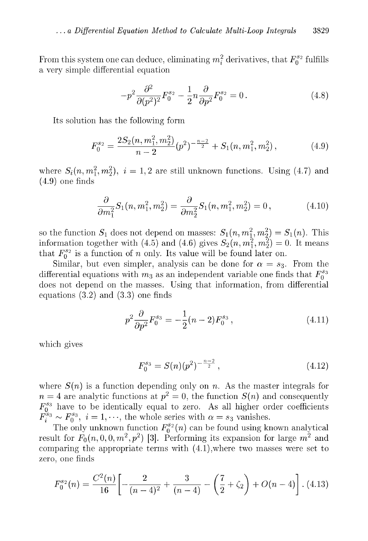From this system one can deduce, eliminating  $m_i^2$  derivatives, that  $F_0^{s_2}$  fulfills a very simple differential equation

$$
-p^2 \frac{\partial^2}{\partial (p^2)^2} F_0^{s_2} - \frac{1}{2} n \frac{\partial}{\partial p^2} F_0^{s_2} = 0.
$$
 (4.8)

Its solution has the following form

$$
F_0^{s_2} = \frac{2S_2(n, m_1^2, m_2^2)}{n-2} (p^2)^{-\frac{n-2}{2}} + S_1(n, m_1^2, m_2^2), \qquad (4.9)
$$

where  $S_i(n, m_1^2, m_2^2), i = 1, 2$  are still unknown functions. Using (4.7) and (4.9) one finds

$$
\frac{\partial}{\partial m_1^2} S_1(n, m_1^2, m_2^2) = \frac{\partial}{\partial m_2^2} S_1(n, m_1^2, m_2^2) = 0, \qquad (4.10)
$$

so the function  $S_1$  does not depend on masses:  $S_1(n, m_1^2, m_2^2) = S_1(n)$ . This information together with (4.5) and (4.6) gives  $S_2 ( n , m_1^2 , m_2^2 ) = 0$ . It means that  $F_0^{s_2}$  is a function of *n* only. Its value will be found later on.

Similar, but even simpler, analysis can be done for  $\alpha = s_3$ . From the differential equations with  $m_3$  as an independent variable one finds that  $F_0^{ss}$ does not depend on the masses. Using that information, from differential equations (3.2) and (3.3) one finds

$$
p^2 \frac{\partial}{\partial p^2} F_0^{s_3} = -\frac{1}{2} (n-2) F_0^{s_3} , \qquad (4.11)
$$

which gives

$$
F_0^{s_3} = S(n)(p^2)^{-\frac{n-2}{2}}, \qquad (4.12)
$$

where  $S(n)$  is a function depending only on *n*. As the master integrals for  $n = 4$  are analytic functions at  $p^2 = 0$ , the function  $S(n)$  and consequently  $F_0^{83}$  have to be identically equal to zero. As all higher order coefficients  $F_i^{ss} \sim F_0^{ss}$ ,  $i = 1, \dots$ , the whole series with  $\alpha = s_3$  vanishes.

The only unknown function  $F_0^{s_2}(n)$  can be found using known analytical result for  $F_0(n, 0, 0, m^2, p^2)$  [3]. Performing its expansion for large  $m^2$  and comparing the appropriate terms with  $(4.1)$ , where two masses were set to zero, one finds

$$
F_0^{s_2}(n) = \frac{C^2(n)}{16} \left[ -\frac{2}{(n-4)^2} + \frac{3}{(n-4)} - \left(\frac{7}{2} + \zeta_2\right) + O(n-4) \right].
$$
 (4.13)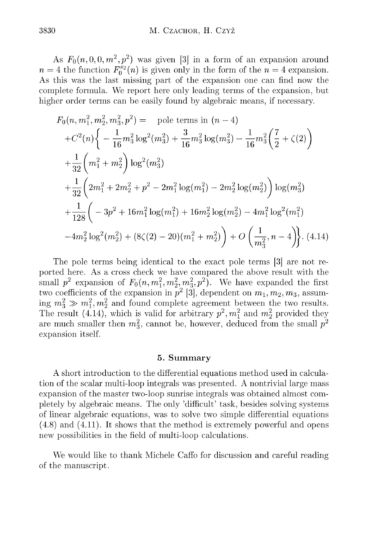As  $F_0(n, 0, 0, m^2, p^2)$  was given [3] in a form of an expansion around  $n = 4$  the function  $F_0^{s_2}(n)$  is given only in the form of the  $n = 4$  expansion. As this was the last missing part of the expansion one can find now the complete formula. We report here only leading terms of the expansion, but higher order terms can be easily found by algebraic means, if necessary.

$$
F_0(n, m_1^2, m_2^2, m_3^2, p^2) = \text{pole terms in } (n - 4)
$$
  
+ $C^2(n)\left\{-\frac{1}{16}m_3^2\log^2(m_3^2) + \frac{3}{16}m_3^2\log(m_3^2) - \frac{1}{16}m_3^2\left(\frac{7}{2} + \zeta(2)\right)\right\}$   
+ $\frac{1}{32}\left(m_1^2 + m_2^2\right)\log^2(m_3^2)$   
+ $\frac{1}{32}\left(2m_1^2 + 2m_2^2 + p^2 - 2m_1^2\log(m_1^2) - 2m_2^2\log(m_2^2)\right)\log(m_3^2)$   
+ $\frac{1}{128}\left(-3p^2 + 16m_1^2\log(m_1^2) + 16m_2^2\log(m_2^2) - 4m_1^2\log^2(m_1^2)\right)$   
- $4m_2^2\log^2(m_2^2) + (8\zeta(2) - 20)(m_1^2 + m_2^2)\right) + O\left(\frac{1}{m_3^2}, n - 4\right).$  (4.14)

The pole terms being identical to the exact pole terms [3] are not reported here. As a cross check we have compared the above result with the small  $p^2$  expansion of  $F_0(n, m_1^2, m_2^2, m_3^2, p^2)$ . We have expanded the first two coefficients of the expansion in  $p^2$  [3], dependent on  $m_1, m_2, m_3$ , assuming  $m_3 \gg m_1^2, m_2^2$  and found complete agreement between the two results. The result (4.14), which is valid for arbitrary  $p^2$ ,  $m_1^2$  and  $m_2^2$  provided they are much smaller then  $m_3^2$ , cannot be, however, deduced from the small  $p^2$ expansion itself.

#### 5. Summary

A short introduction to the differential equations method used in calculation of the scalar multi-loop integrals was presented. A nontrivial large mass expansion of the master two-loop sunrise integrals was obtained almost completely by algebraic means. The only 'difficult' task, besides solving systems of linear algebraic equations, was to solve two simple differential equations  $(4.8)$  and  $(4.11)$ . It shows that the method is extremely powerful and opens new possibilities in the field of multi-loop calculations.

We would like to thank Michele Caffo for discussion and careful reading of the manuscript.